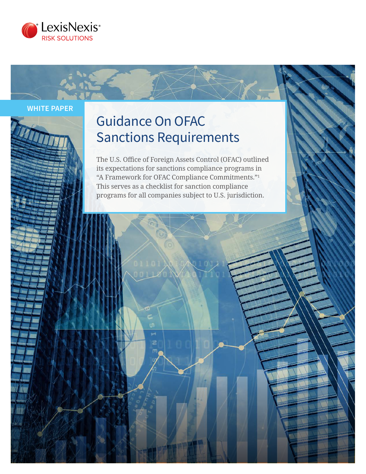

**WHITE PAPER**

# Guidance On OFAC Sanctions Requirements

The U.S. Office of Foreign Assets Control (OFAC) outlined its expectations for sanctions compliance programs in "A Framework for OFAC Compliance Commitments."<sup>1</sup> This serves as a checklist for sanction compliance programs for all companies subject to U.S. jurisdiction.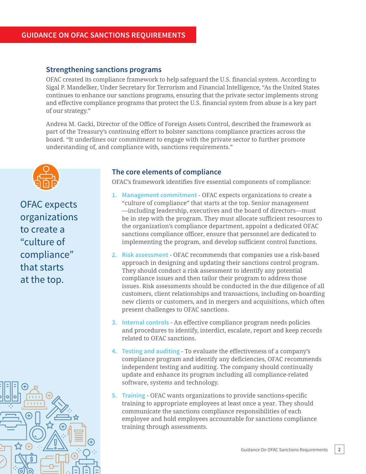#### **Strengthening sanctions programs**

OFAC created its compliance framework to help safeguard the U.S. financial system. According to Sigal P. Mandelker, Under Secretary for Terrorism and Financial Intelligence, "As the United States continues to enhance our sanctions programs, ensuring that the private sector implements strong and effective compliance programs that protect the U.S. financial system from abuse is a key part of our strategy."

Andrea M. Gacki, Director of the Office of Foreign Assets Control, described the framework as part of the Treasury's continuing effort to bolster sanctions compliance practices across the board. "It underlines our commitment to engage with the private sector to further promote understanding of, and compliance with, sanctions requirements."



OFAC expects organizations to create a "culture of compliance" that starts at the top.



#### **The core elements of compliance**

OFAC's framework identifies five essential components of compliance:

- **1. Management commitment** OFAC expects organizations to create a "culture of compliance" that starts at the top. Senior management —including leadership, executives and the board of directors—must be in step with the program. They must allocate sufficient resources to the organization's compliance department, appoint a dedicated OFAC sanctions compliance officer, ensure that personnel are dedicated to implementing the program, and develop sufficient control functions.
- **2. Risk assessment** OFAC recommends that companies use a risk-based approach in designing and updating their sanctions control program. They should conduct a risk assessment to identify any potential compliance issues and then tailor their program to address those issues. Risk assessments should be conducted in the due diligence of all customers, client relationships and transactions, including on-boarding new clients or customers, and in mergers and acquisitions, which often present challenges to OFAC sanctions.
- **3. Internal controls** An effective compliance program needs policies and procedures to identify, interdict, escalate, report and keep records related to OFAC sanctions.
- **4. Testing and auditing** To evaluate the effectiveness of a company's compliance program and identify any deficiencies, OFAC recommends independent testing and auditing. The company should continually update and enhance its program including all compliance-related software, systems and technology.
- **5. Training** OFAC wants organizations to provide sanctions-specific training to appropriate employees at least once a year. They should communicate the sanctions compliance responsibilities of each employee and hold employees accountable for sanctions compliance training through assessments.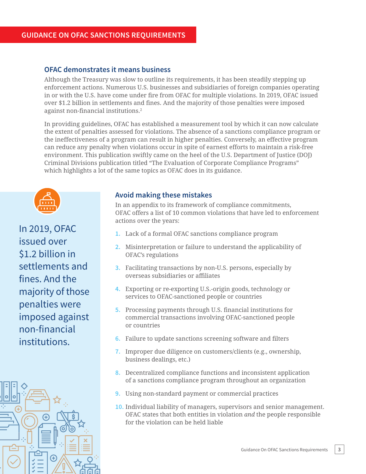#### **OFAC demonstrates it means business**

Although the Treasury was slow to outline its requirements, it has been steadily stepping up enforcement actions. Numerous U.S. businesses and subsidiaries of foreign companies operating in or with the U.S. have come under fire from OFAC for multiple violations. In 2019, OFAC issued over \$1.2 billion in settlements and fines. And the majority of those penalties were imposed against non-financial institutions.2

In providing guidelines, OFAC has established a measurement tool by which it can now calculate the extent of penalties assessed for violations. The absence of a sanctions compliance program or the ineffectiveness of a program can result in higher penalties. Conversely, an effective program can reduce any penalty when violations occur in spite of earnest efforts to maintain a risk-free environment. This publication swiftly came on the heel of the U.S. Department of Justice (DOJ) Criminal Divisions publication titled "The Evaluation of Corporate Compliance Programs" which highlights a lot of the same topics as OFAC does in its guidance.



In 2019, OFAC issued over \$1.2 billion in settlements and fines. And the majority of those penalties were imposed against non-financial institutions.



#### **Avoid making these mistakes**

In an appendix to its framework of compliance commitments, OFAC offers a list of 10 common violations that have led to enforcement actions over the years:

- **1.** Lack of a formal OFAC sanctions compliance program
- **2.** Misinterpretation or failure to understand the applicability of OFAC's regulations
- **3.** Facilitating transactions by non-U.S. persons, especially by overseas subsidiaries or affiliates
- **4.** Exporting or re-exporting U.S.-origin goods, technology or services to OFAC-sanctioned people or countries
- **5.** Processing payments through U.S. financial institutions for commercial transactions involving OFAC-sanctioned people or countries
- **6.** Failure to update sanctions screening software and filters
- **7.** Improper due diligence on customers/clients (e.g., ownership, business dealings, etc.)
- **8.** Decentralized compliance functions and inconsistent application of a sanctions compliance program throughout an organization
- **9.** Using non-standard payment or commercial practices
- **10.** Individual liability of managers, supervisors and senior management. OFAC states that both entities in violation *and* the people responsible for the violation can be held liable